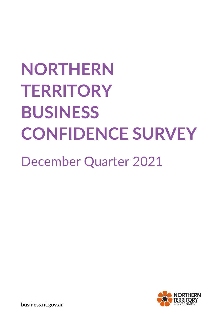# **NORTHERN TERRITORY BUSINESS CONFIDENCE SURVEY**

December Quarter 2021



**business.nt.gov.au**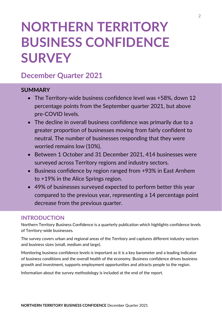# **NORTHERN TERRITORY BUSINESS CONFIDENCE SURVEY**

# **December Quarter 2021**

## **SUMMARY**

- The Territory-wide business confidence level was +58%, down 12 percentage points from the September quarter 2021, but above pre-COVID levels.
- The decline in overall business confidence was primarily due to a greater proportion of businesses moving from fairly confident to neutral. The number of businesses responding that they were worried remains low (10%).
- Between 1 October and 31 December 2021, 414 businesses were surveyed across Territory regions and industry sectors.
- Business confidence by region ranged from +93% in East Arnhem to +19% in the Alice Springs region.
- 49% of businesses surveyed expected to perform better this year compared to the previous year, representing a 14 percentage point decrease from the previous quarter.

# **INTRODUCTION**

Northern Territory Business Confidence is a quarterly publication which highlights confidence levels of Territory-wide businesses.

The survey covers urban and regional areas of the Territory and captures different industry sectors and business sizes (small, medium and large).

Monitoring business confidence levels is important as it is a key barometer and a leading indicator of business conditions and the overall health of the economy. Business confidence drives business growth and investment, supports employment opportunities and attracts people to the region.

Information about the survey methodology is included at the end of the report.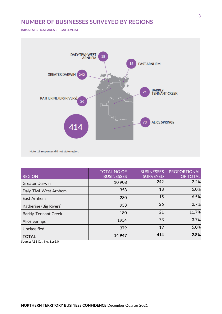# **NUMBER OF BUSINESSES SURVEYED BY REGIONS**

**(ABS STATISTICAL AREA 3 – SA3 LEVELS)**



| <b>REGION</b>               | <b>TOTAL NO OF</b><br><b>BUSINESSES</b> | <b>BUSINESSES</b><br><b>SURVEYED</b> | <b>PROPORTIONAL</b><br>OF TOTAL |
|-----------------------------|-----------------------------------------|--------------------------------------|---------------------------------|
| <b>Greater Darwin</b>       | 10 908                                  | 242                                  | 2.2%                            |
| Daly-Tiwi-West Arnhem       | 358                                     | 18                                   | 5.0%                            |
| East Arnhem                 | 230                                     | 15                                   | 6.5%                            |
| Katherine (Big Rivers)      | 958                                     | 26                                   | 2.7%                            |
| <b>Barkly-Tennant Creek</b> | 180                                     | 21                                   | 11.7%                           |
| <b>Alice Springs</b>        | 1954                                    | 73                                   | 3.7%                            |
| Unclassified                | 379                                     | 19                                   | 5.0%                            |
| <b>TOTAL</b>                | 14 947                                  | 414                                  | 2.8%                            |

Source: ABS Cat. No. 8165.0

3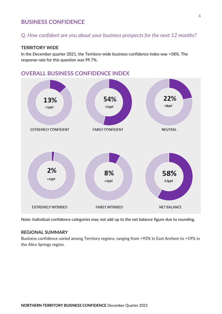## **BUSINESS CONFIDENCE**

# *Q. How confident are you about your business prospects for the next 12 months?*

#### **TERRITORY WIDE**

In the December quarter 2021, the Territory-wide business confidence index was +58%. The response rate for this question was 99.7%.



# **OVERALL BUSINESS CONFIDENCE INDEX**

Note: Individual confidence categories may not add up to the net balance figure due to rounding.

#### **REGIONAL SUMMARY**

Business confidence varied among Territory regions, ranging from +93% in East Arnhem to +19% in the Alice Springs region.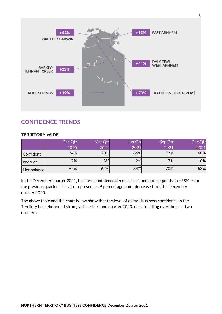

# **CONFIDENCE TRENDS**

#### **TERRITORY WIDE**

|             | Dec Qtr | Mar Qtr | Jun Qtr | Sep Qtr | Dec Qtr  |
|-------------|---------|---------|---------|---------|----------|
|             |         |         |         |         | 2021<br> |
| Confident   | 74%     | 70%     |         | 77%l    | 68%      |
| Worried     |         | 8%      | 2%      | 7%l     | 10%      |
| Net balance |         | 32%     |         | 70%     | 58%      |

In the December quarter 2021, business confidence decreased 12 percentage points to +58% from the previous quarter. This also represents a 9 percentage point decrease from the December quarter 2020.

The above table and the chart below show that the level of overall business confidence in the Territory has rebounded strongly since the June quarter 2020, despite falling over the past two quarters.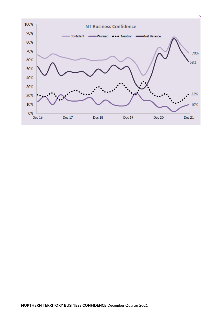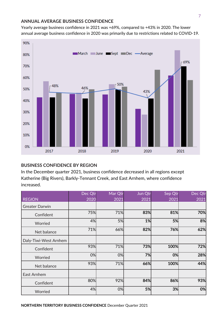#### **ANNUAL AVERAGE BUSINESS CONFIDENCE**

Yearly average business confidence in 2021 was +69%, compared to +43% in 2020. The lower annual average business confidence in 2020 was primarily due to restrictions related to COVID-19.



#### **BUSINESS CONFIDENCE BY REGION**

In the December quarter 2021, business confidence decreased in all regions except Katherine (Big Rivers), Barkly-Tennant Creek, and East Arnhem, where confidence increased.

|                       | Dec Qtr | Mar Qtr | Jun Qtr | Sep Qtr | Dec Qtr |
|-----------------------|---------|---------|---------|---------|---------|
| <b>REGION</b>         | 2020    | 2021    | 2021    | 2021    | 2021    |
| <b>Greater Darwin</b> |         |         |         |         |         |
| Confident             | 75%     | 71%     | 83%     | 81%     | 70%     |
| Worried               | 4%      | 5%      | 1%      | 5%      | 8%      |
| Net balance           | 71%     | 66%     | 82%     | 76%     | 62%     |
| Daly-Tiwi-West Arnhem |         |         |         |         |         |
| Confident             | 93%     | 71%     | 73%     | 100%    | 72%     |
| Worried               | 0%      | 0%      | 7%      | 0%      | 28%     |
| Net balance           | 93%     | 71%     | 66%     | 100%    | 44%     |
| East Arnhem           |         |         |         |         |         |
| Confident             | 80%     | 92%     | 84%     | 86%     | 93%     |
| Worried               | 4%      | 0%      | 5%      | 3%      | 0%      |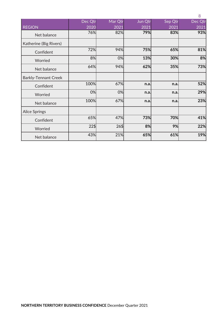|                             |                 |         |         |         | 8       |
|-----------------------------|-----------------|---------|---------|---------|---------|
|                             | Dec Qtr         | Mar Qtr | Jun Qtr | Sep Qtr | Dec Qtr |
| <b>REGION</b>               | 2020            | 2021    | 2021    | 2021    | 2021    |
| Net balance                 | 76%             | 82%     | 79%     | 83%     | 93%     |
| Katherine (Big Rivers)      |                 |         |         |         |         |
| Confident                   | 72%             | 94%     | 75%     | 65%     | 81%     |
| Worried                     | 8%              | 0%      | 13%     | 30%     | 8%      |
| Net balance                 | 64%             | 94%     | 62%     | 35%     | 73%     |
| <b>Barkly-Tennant Creek</b> |                 |         |         |         |         |
| Confident                   | 100%            | 67%     | n.a.    | n.a.    | 52%     |
| Worried                     | 0%              | 0%      | n.a.    | n.a.    | 29%     |
| Net balance                 | 100%            | 67%     | n.a.    | n.a.    | 23%     |
| <b>Alice Springs</b>        |                 |         |         |         |         |
| Confident                   | 65%             | 47%     | 73%     | 70%     | 41%     |
| Worried                     | $22\frac{1}{2}$ | $26\%$  | 8%      | 9%      | 22%     |
| Net balance                 | 43%             | 21%     | 65%     | 61%     | 19%     |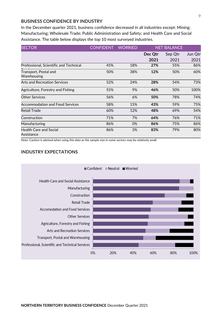#### **BUSINESS CONFIDENCE BY INDUSTRY**

In the December quarter 2021, business confidence decreased in all industries except: Mining; Manufacturing; Wholesale Trade; Public Administration and Safety; and Health Care and Social Assistance. The table below displays the top 10 most surveyed industries.

| <b>SECTOR</b>                               | <b>CONFIDENT</b> | <b>WORRIED</b> | <b>NET BALANCE</b> |         |         |
|---------------------------------------------|------------------|----------------|--------------------|---------|---------|
|                                             |                  |                | Dec Qtr            | Sep Qtr | Jun Qtr |
|                                             |                  |                | 2021               | 2021    | 2021    |
| Professional, Scientific and Technical      | 45%              | 18%            | 27%                | 55%     | 86%     |
| Transport, Postal and<br>Warehousing        | 50%              | 38%            | 12%                | 50%     | 60%     |
| <b>Arts and Recreation Services</b>         | 52%              | 24%            | 28%                | 54%     | 73%     |
| Agriculture, Forestry and Fishing           | 55%              | 9%             | 46%                | 50%     | 100%    |
| <b>Other Services</b>                       | 56%              | 6%             | 50%                | 78%     | 74%     |
| <b>Accommodation and Food Services</b>      | 58%              | 15%            | 43%                | 59%     | 75%     |
| Retail Trade                                | 60%              | 12%            | 48%                | 69%     | 54%     |
| Construction                                | 71%              | 7%             | 64%                | 76%     | 71%     |
| Manufacturing                               | 86%              | 0%             | 86%                | 75%     | 86%     |
| <b>Health Care and Social</b><br>Assistance | 86%              | 3%             | 83%                | 79%     | 80%     |

Note: Caution is advised when using this data as the sample size in some sectors may be relatively small.

#### **INDUSTRY EXPECTATIONS**

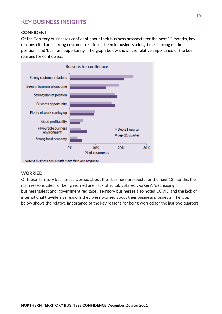# **KEY BUSINESS INSIGHTS**

#### **CONFIDENT**

Of the Territory businesses confident about their business prospects for the next 12 months, key reasons cited are: 'strong customer relations'; 'been in business a long time'; 'strong market position'; and 'business opportunity'. The graph below shows the relative importance of the key reasons for confidence.



Note: a business can submit more than one response

#### **WORRIED**

Of those Territory businesses worried about their business prospects for the next 12 months, the main reasons cited for being worried are: 'lack of suitably skilled workers'; 'decreasing business/sales'; and 'government red tape'. Territory businesses also noted COVID and the lack of international travellers as reasons they were worried about their business prospects. The graph below shows the relative importance of the key reasons for being worried for the last two quarters.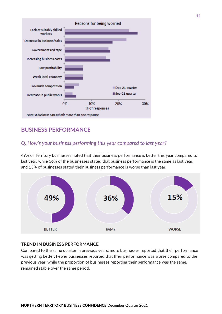

# **BUSINESS PERFORMANCE**

### *Q. How's your business performing this year compared to last year?*

49% of Territory businesses noted that their business performance is better this year compared to last year, while 36% of the businesses stated that business performance is the same as last year, and 15% of businesses stated their business performance is worse than last year.



#### **TREND IN BUSINESS PERFORMANCE**

Compared to the same quarter in previous years, more businesses reported that their performance was getting better. Fewer businesses reported that their performance was worse compared to the previous year, while the proportion of businesses reporting their performance was the same, remained stable over the same period.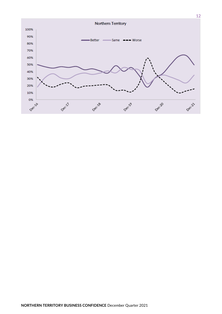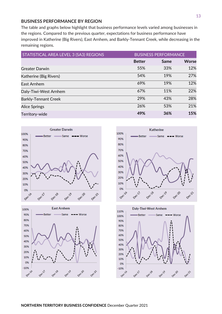#### **BUSINESS PERFORMANCE BY REGION**

The table and graphs below highlight that business performance levels varied among businesses in the regions. Compared to the previous quarter, expectations for business performance have improved in Katherine (Big Rivers), East Arnhem, and Barkly-Tennant Creek, while decreasing in the remaining regions.

| STATISTICAL AREA LEVEL 3 (SA3) REGIONS |               | <b>BUSINESS PERFORMANCE</b> |              |  |
|----------------------------------------|---------------|-----------------------------|--------------|--|
|                                        | <b>Better</b> | Same                        | <b>Worse</b> |  |
| <b>Greater Darwin</b>                  | 55%           | 33%                         | 12%          |  |
| Katherine (Big Rivers)                 | 54%           | 19%                         | 27%          |  |
| East Arnhem                            | 69%           | 19%                         | 12%          |  |
| Daly-Tiwi-West Arnhem                  | 67%           | 11%                         | 22%          |  |
| <b>Barkly-Tennant Creek</b>            | 29%           | 43%                         | 28%          |  |
| <b>Alice Springs</b>                   | 26%           | 53%                         | 21%          |  |
| Territory-wide                         | 49%           | 36%                         | 15%          |  |







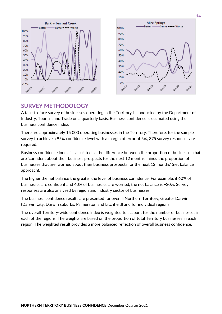

# **SURVEY METHODOLOGY**

A face-to-face survey of businesses operating in the Territory is conducted by the Department of Industry, Tourism and Trade on a quarterly basis. Business confidence is estimated using the business confidence index.

There are approximately 15 000 operating businesses in the Territory. Therefore, for the sample survey to achieve a 95% confidence level with a margin of error of 5%, 375 survey responses are required.

Business confidence index is calculated as the difference between the proportion of businesses that are 'confident about their business prospects for the next 12 months' minus the proportion of businesses that are 'worried about their business prospects for the next 12 months' (net balance approach).

The higher the net balance the greater the level of business confidence. For example, if 60% of businesses are confident and 40% of businesses are worried, the net balance is +20%. Survey responses are also analysed by region and industry sector of businesses.

The business confidence results are presented for overall Northern Territory, Greater Darwin (Darwin City, Darwin suburbs, Palmerston and Litchfield) and for individual regions.

The overall Territory-wide confidence index is weighted to account for the number of businesses in each of the regions. The weights are based on the proportion of total Territory businesses in each region. The weighted result provides a more balanced reflection of overall business confidence.